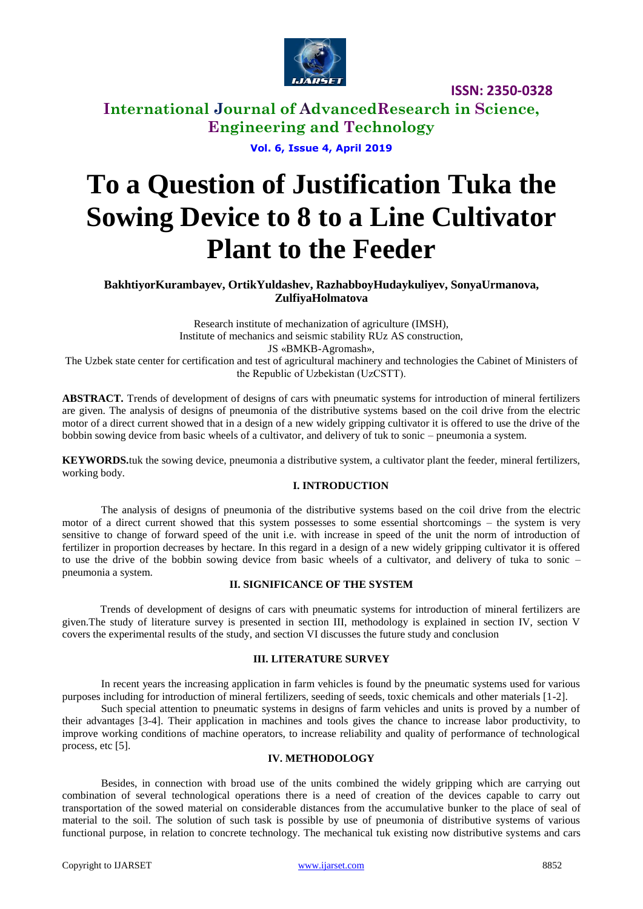

**International Journal of AdvancedResearch in Science, Engineering and Technology**

**Vol. 6, Issue 4, April 2019**

# **To a Question of Justification Tuka the Sowing Device to 8 to a Line Cultivator Plant to the Feeder**

**BakhtiyorKurambayev, OrtikYuldashev, RazhabboyHudaykuliyev, SonyaUrmanova, ZulfiyaHolmatova**

Research institute of mechanization of agriculture (IMSH), Institute of mechanics and seismic stability RUz AS construction, JS «BMKB-Agromash», The Uzbek state center for certification and test of agricultural machinery and technologies the Cabinet of Ministers of the Republic of Uzbekistan (UzCSТТ).

**ABSTRACT.** Trends of development of designs of cars with pneumatic systems for introduction of mineral fertilizers are given. The analysis of designs of pneumonia of the distributive systems based on the coil drive from the electric motor of a direct current showed that in a design of a new widely gripping cultivator it is offered to use the drive of the bobbin sowing device from basic wheels of a cultivator, and delivery of tuk to sonic – pneumonia a system.

**KEYWORDS.**tuk the sowing device, pneumonia a distributive system, a cultivator plant the feeder, mineral fertilizers, working body.

### **I. INTRODUCTION**

The analysis of designs of pneumonia of the distributive systems based on the coil drive from the electric motor of a direct current showed that this system possesses to some essential shortcomings – the system is very sensitive to change of forward speed of the unit i.e. with increase in speed of the unit the norm of introduction of fertilizer in proportion decreases by hectare. In this regard in a design of a new widely gripping cultivator it is offered to use the drive of the bobbin sowing device from basic wheels of a cultivator, and delivery of tuka to sonic – pneumonia a system.

#### **II. SIGNIFICANCE OF THE SYSTEM**

Trends of development of designs of cars with pneumatic systems for introduction of mineral fertilizers are given.The study of literature survey is presented in section III, methodology is explained in section IV, section V covers the experimental results of the study, and section VI discusses the future study and conclusion

#### **III. LITERATURE SURVEY**

In recent years the increasing application in farm vehicles is found by the pneumatic systems used for various purposes including for introduction of mineral fertilizers, seeding of seeds, toxic chemicals and other materials [1-2].

Such special attention to pneumatic systems in designs of farm vehicles and units is proved by a number of their advantages [3-4]. Their application in machines and tools gives the chance to increase labor productivity, to improve working conditions of machine operators, to increase reliability and quality of performance of technological process, etc [5].

#### **IV. METHODOLOGY**

Besides, in connection with broad use of the units combined the widely gripping which are carrying out combination of several technological operations there is a need of creation of the devices capable to carry out transportation of the sowed material on considerable distances from the accumulative bunker to the place of seal of material to the soil. The solution of such task is possible by use of pneumonia of distributive systems of various functional purpose, in relation to concrete technology. The mechanical tuk existing now distributive systems and cars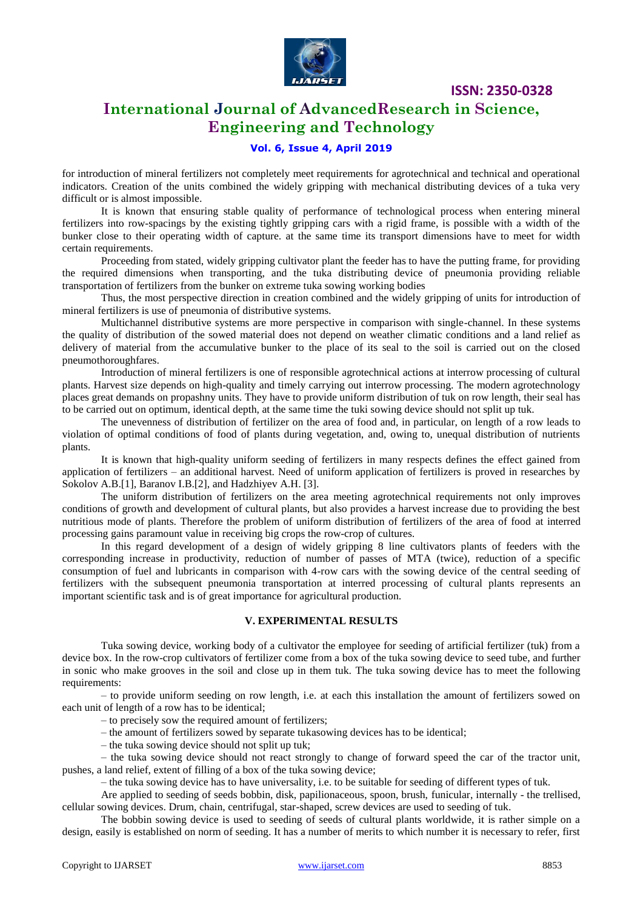

# **International Journal of AdvancedResearch in Science, Engineering and Technology**

## **Vol. 6, Issue 4, April 2019**

for introduction of mineral fertilizers not completely meet requirements for agrotechnical and technical and operational indicators. Creation of the units combined the widely gripping with mechanical distributing devices of a tuka very difficult or is almost impossible.

It is known that ensuring stable quality of performance of technological process when entering mineral fertilizers into row-spacings by the existing tightly gripping cars with a rigid frame, is possible with a width of the bunker close to their operating width of capture. at the same time its transport dimensions have to meet for width certain requirements.

Proceeding from stated, widely gripping cultivator plant the feeder has to have the putting frame, for providing the required dimensions when transporting, and the tuka distributing device of pneumonia providing reliable transportation of fertilizers from the bunker on extreme tuka sowing working bodies

Thus, the most perspective direction in creation combined and the widely gripping of units for introduction of mineral fertilizers is use of pneumonia of distributive systems.

Multichannel distributive systems are more perspective in comparison with single-channel. In these systems the quality of distribution of the sowed material does not depend on weather climatic conditions and a land relief as delivery of material from the accumulative bunker to the place of its seal to the soil is carried out on the closed pneumothoroughfares.

Introduction of mineral fertilizers is one of responsible agrotechnical actions at interrow processing of cultural plants. Harvest size depends on high-quality and timely carrying out interrow processing. The modern agrotechnology places great demands on propashny units. They have to provide uniform distribution of tuk on row length, their seal has to be carried out on optimum, identical depth, at the same time the tuki sowing device should not split up tuk.

The unevenness of distribution of fertilizer on the area of food and, in particular, on length of a row leads to violation of optimal conditions of food of plants during vegetation, and, owing to, unequal distribution of nutrients plants.

It is known that high-quality uniform seeding of fertilizers in many respects defines the effect gained from application of fertilizers – an additional harvest. Need of uniform application of fertilizers is proved in researches by Sokolov A.B.[1], Baranov I.B.[2], and Hadzhiyev A.H. [3].

The uniform distribution of fertilizers on the area meeting agrotechnical requirements not only improves conditions of growth and development of cultural plants, but also provides a harvest increase due to providing the best nutritious mode of plants. Therefore the problem of uniform distribution of fertilizers of the area of food at interred processing gains paramount value in receiving big crops the row-crop of cultures.

In this regard development of a design of widely gripping 8 line cultivators plants of feeders with the corresponding increase in productivity, reduction of number of passes of MTA (twice), reduction of a specific consumption of fuel and lubricants in comparison with 4-row cars with the sowing device of the central seeding of fertilizers with the subsequent pneumonia transportation at interred processing of cultural plants represents an important scientific task and is of great importance for agricultural production.

#### **V. EXPERIMENTAL RESULTS**

Tukа sowing device, working body of a cultivator the employee for seeding of artificial fertilizer (tuk) from a device box. In the row-crop cultivators of fertilizer come from a box of the tukа sowing device to seed tube, and further in sonic who make grooves in the soil and close up in them tuk. The tukа sowing device has to meet the following requirements:

– to provide uniform seeding on row length, i.e. at each this installation the amount of fertilizers sowed on each unit of length of a row has to be identical;

– to precisely sow the required amount of fertilizers;

– the amount of fertilizers sowed by separate tukаsowing devices has to be identical;

– the tukа sowing device should not split up tuk;

– the tukа sowing device should not react strongly to change of forward speed the car of the tractor unit, pushes, a land relief, extent of filling of a box of the tukа sowing device;

– the tukа sowing device has to have universality, i.e. to be suitable for seeding of different types of tuk.

Are applied to seeding of seeds bobbin, disk, papilionaceous, spoon, brush, funicular, internally - the trellised, cellular sowing devices. Drum, chain, centrifugal, star-shaped, screw devices are used to seeding of tuk.

The bobbin sowing device is used to seeding of seeds of cultural plants worldwide, it is rather simple on a design, easily is established on norm of seeding. It has a number of merits to which number it is necessary to refer, first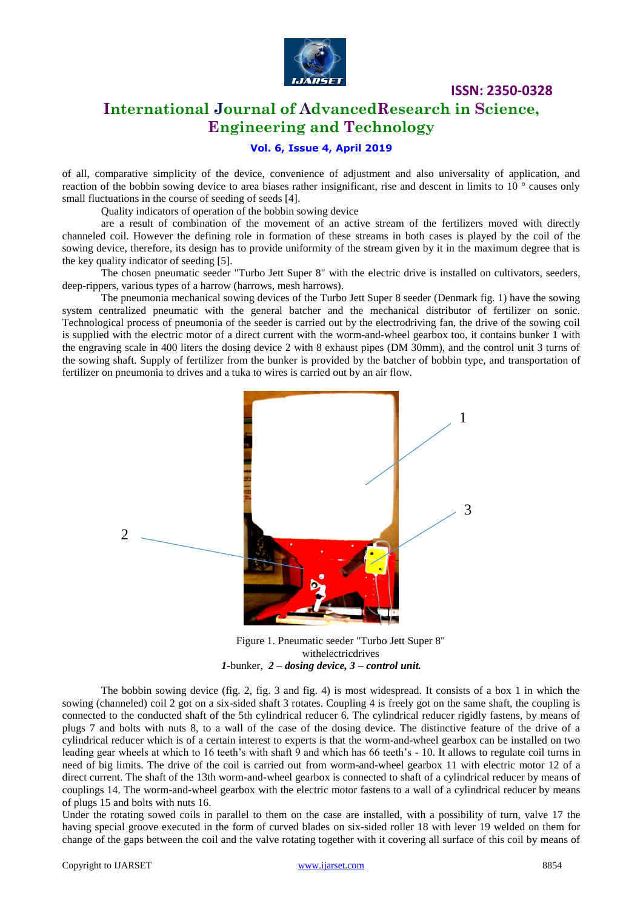

# **International Journal of AdvancedResearch in Science, Engineering and Technology**

## **Vol. 6, Issue 4, April 2019**

of all, comparative simplicity of the device, convenience of adjustment and also universality of application, and reaction of the bobbin sowing device to area biases rather insignificant, rise and descent in limits to 10 ° causes only small fluctuations in the course of seeding of seeds [4].

Quality indicators of operation of the bobbin sowing device

are a result of combination of the movement of an active stream of the fertilizers moved with directly channeled coil. However the defining role in formation of these streams in both cases is played by the coil of the sowing device, therefore, its design has to provide uniformity of the stream given by it in the maximum degree that is the key quality indicator of seeding [5].

The chosen pneumatic seeder "Turbo Jett Super 8" with the electric drive is installed on cultivators, seeders, deep-rippers, various types of a harrow (harrows, mesh harrows).

The pneumonia mechanical sowing devices of the Turbo Jett Super 8 seeder (Denmark fig. 1) have the sowing system centralized pneumatic with the general batcher and the mechanical distributor of fertilizer on sonic. Technological process of pneumonia of the seeder is carried out by the electrodriving fan, the drive of the sowing coil is supplied with the electric motor of a direct current with the worm-and-wheel gearbox too, it contains bunker 1 with the engraving scale in 400 liters the dosing device 2 with 8 exhaust pipes (DM 30mm), and the control unit 3 turns of the sowing shaft. Supply of fertilizer from the bunker is provided by the batcher of bobbin type, and transportation of fertilizer on pneumonia to drives and a tuka to wires is carried out by an air flow.



Figure 1. Pneumatic seeder "Turbo Jett Super 8" withelectricdrives *1-*bunker, *2 – dosing device, 3 – control unit.*

The bobbin sowing device (fig. 2, fig. 3 and fig. 4) is most widespread. It consists of a box 1 in which the sowing (channeled) coil 2 got on a six-sided shaft 3 rotates. Coupling 4 is freely got on the same shaft, the coupling is connected to the conducted shaft of the 5th cylindrical reducer 6. The cylindrical reducer rigidly fastens, by means of plugs 7 and bolts with nuts 8, to a wall of the case of the dosing device. The distinctive feature of the drive of a cylindrical reducer which is of a certain interest to experts is that the worm-and-wheel gearbox can be installed on two leading gear wheels at which to 16 teeth's with shaft 9 and which has 66 teeth's - 10. It allows to regulate coil turns in need of big limits. The drive of the coil is carried out from worm-and-wheel gearbox 11 with electric motor 12 of a direct current. The shaft of the 13th worm-and-wheel gearbox is connected to shaft of a cylindrical reducer by means of couplings 14. The worm-and-wheel gearbox with the electric motor fastens to a wall of a cylindrical reducer by means of plugs 15 and bolts with nuts 16.

Under the rotating sowed coils in parallel to them on the case are installed, with a possibility of turn, valve 17 the having special groove executed in the form of curved blades on six-sided roller 18 with lever 19 welded on them for change of the gaps between the coil and the valve rotating together with it covering all surface of this coil by means of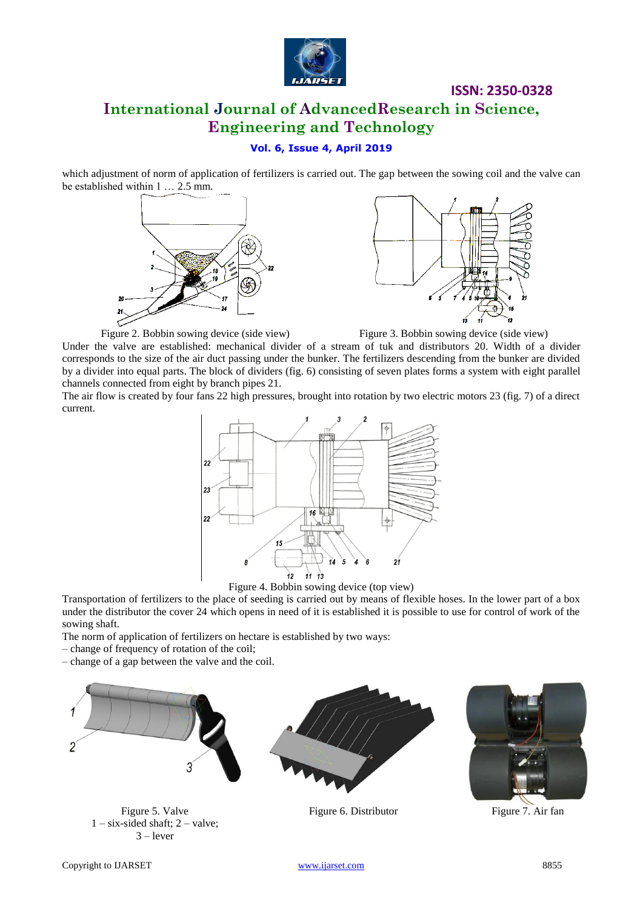

# **International Journal of AdvancedResearch in Science, Engineering and Technology**

## **Vol. 6, Issue 4, April 2019**

which adjustment of norm of application of fertilizers is carried out. The gap between the sowing coil and the valve can be established within 1 … 2.5 mm.





Figure 2. Bobbin sowing device (side view) Figure 3. Bobbin sowing device (side view)

Under the valve are established: mechanical divider of a stream of tuk and distributors 20. Width of a divider corresponds to the size of the air duct passing under the bunker. The fertilizers descending from the bunker are divided by a divider into equal parts. The block of dividers (fig. 6) consisting of seven plates forms a system with eight parallel channels connected from eight by branch pipes 21.

The air flow is created by four fans 22 high pressures, brought into rotation by two electric motors 23 (fig. 7) of a direct current.



Figure 4. Bobbin sowing device (top view)

Transportation of fertilizers to the place of seeding is carried out by means of flexible hoses. In the lower part of a box under the distributor the cover 24 which opens in need of it is established it is possible to use for control of work of the sowing shaft.

The norm of application of fertilizers on hectare is established by two ways:

– change of frequency of rotation of the coil;

– change of a gap between the valve and the coil.



Figure 5. Valve  $1 - six-sided shaft; 2 - valve;$  $3 -$  lever



Figure 6. Distributor Figure 7. Air fan